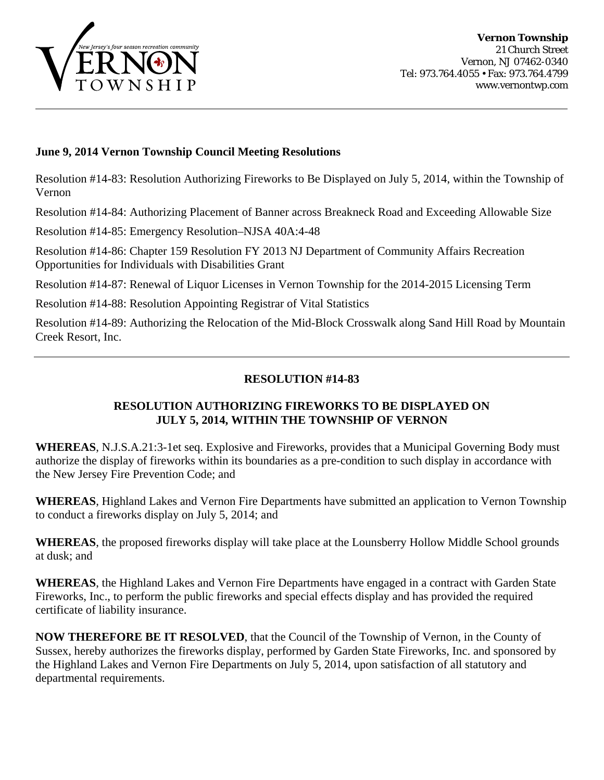

### **June 9, 2014 Vernon Township Council Meeting Resolutions**

Resolution #14-83: Resolution Authorizing Fireworks to Be Displayed on July 5, 2014, within the Township of Vernon

Resolution #14-84: Authorizing Placement of Banner across Breakneck Road and Exceeding Allowable Size

Resolution #14-85: Emergency Resolution–NJSA 40A:4-48

Resolution #14-86: Chapter 159 Resolution FY 2013 NJ Department of Community Affairs Recreation Opportunities for Individuals with Disabilities Grant

Resolution #14-87: Renewal of Liquor Licenses in Vernon Township for the 2014-2015 Licensing Term

Resolution #14-88: Resolution Appointing Registrar of Vital Statistics

Resolution #14-89: Authorizing the Relocation of the Mid-Block Crosswalk along Sand Hill Road by Mountain Creek Resort, Inc.

# **RESOLUTION #14-83**

# **RESOLUTION AUTHORIZING FIREWORKS TO BE DISPLAYED ON JULY 5, 2014, WITHIN THE TOWNSHIP OF VERNON**

**WHEREAS**, N.J.S.A.21:3-1et seq. Explosive and Fireworks, provides that a Municipal Governing Body must authorize the display of fireworks within its boundaries as a pre-condition to such display in accordance with the New Jersey Fire Prevention Code; and

**WHEREAS**, Highland Lakes and Vernon Fire Departments have submitted an application to Vernon Township to conduct a fireworks display on July 5, 2014; and

**WHEREAS**, the proposed fireworks display will take place at the Lounsberry Hollow Middle School grounds at dusk; and

**WHEREAS**, the Highland Lakes and Vernon Fire Departments have engaged in a contract with Garden State Fireworks, Inc., to perform the public fireworks and special effects display and has provided the required certificate of liability insurance.

**NOW THEREFORE BE IT RESOLVED**, that the Council of the Township of Vernon, in the County of Sussex, hereby authorizes the fireworks display, performed by Garden State Fireworks, Inc. and sponsored by the Highland Lakes and Vernon Fire Departments on July 5, 2014, upon satisfaction of all statutory and departmental requirements.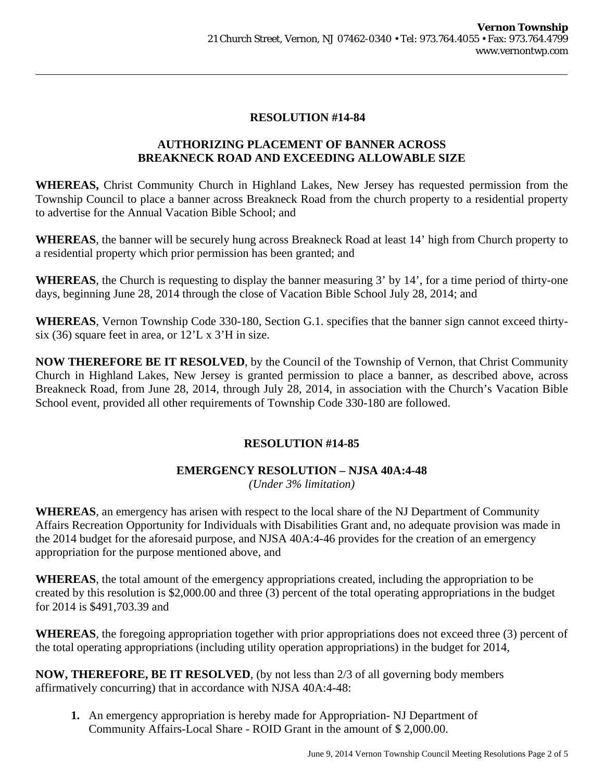### **RESOLUTION #14-84**

## **AUTHORIZING PLACEMENT OF BANNER ACROSS BREAKNECK ROAD AND EXCEEDING ALLOWABLE SIZE**

**WHEREAS,** Christ Community Church in Highland Lakes, New Jersey has requested permission from the Township Council to place a banner across Breakneck Road from the church property to a residential property to advertise for the Annual Vacation Bible School; and

**WHEREAS**, the banner will be securely hung across Breakneck Road at least 14' high from Church property to a residential property which prior permission has been granted; and

**WHEREAS**, the Church is requesting to display the banner measuring 3' by 14', for a time period of thirty-one days, beginning June 28, 2014 through the close of Vacation Bible School July 28, 2014; and

**WHEREAS**, Vernon Township Code 330-180, Section G.1. specifies that the banner sign cannot exceed thirtysix (36) square feet in area, or 12'L x 3'H in size.

**NOW THEREFORE BE IT RESOLVED**, by the Council of the Township of Vernon, that Christ Community Church in Highland Lakes, New Jersey is granted permission to place a banner, as described above, across Breakneck Road, from June 28, 2014, through July 28, 2014, in association with the Church's Vacation Bible School event, provided all other requirements of Township Code 330-180 are followed.

## **RESOLUTION #14-85**

## **EMERGENCY RESOLUTION – NJSA 40A:4-48**

*(Under 3% limitation)* 

**WHEREAS**, an emergency has arisen with respect to the local share of the NJ Department of Community Affairs Recreation Opportunity for Individuals with Disabilities Grant and, no adequate provision was made in the 2014 budget for the aforesaid purpose, and NJSA 40A:4-46 provides for the creation of an emergency appropriation for the purpose mentioned above, and

**WHEREAS**, the total amount of the emergency appropriations created, including the appropriation to be created by this resolution is \$2,000.00 and three (3) percent of the total operating appropriations in the budget for 2014 is \$491,703.39 and

**WHEREAS**, the foregoing appropriation together with prior appropriations does not exceed three (3) percent of the total operating appropriations (including utility operation appropriations) in the budget for 2014,

**NOW, THEREFORE, BE IT RESOLVED**, (by not less than 2/3 of all governing body members affirmatively concurring) that in accordance with NJSA 40A:4-48:

**1.** An emergency appropriation is hereby made for Appropriation- NJ Department of Community Affairs-Local Share - ROID Grant in the amount of \$ 2,000.00.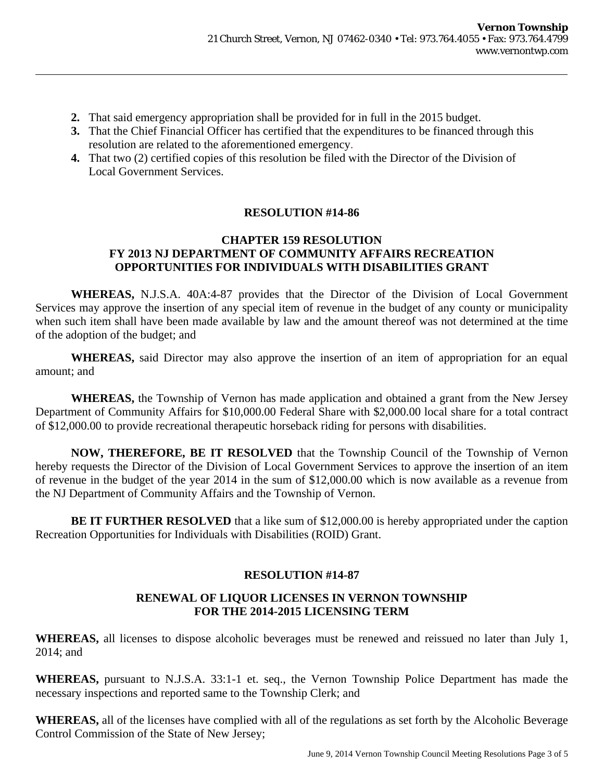- **2.** That said emergency appropriation shall be provided for in full in the 2015 budget.
- **3.** That the Chief Financial Officer has certified that the expenditures to be financed through this resolution are related to the aforementioned emergency.
- **4.** That two (2) certified copies of this resolution be filed with the Director of the Division of Local Government Services.

## **RESOLUTION #14-86**

#### **CHAPTER 159 RESOLUTION FY 2013 NJ DEPARTMENT OF COMMUNITY AFFAIRS RECREATION OPPORTUNITIES FOR INDIVIDUALS WITH DISABILITIES GRANT**

**WHEREAS,** N.J.S.A. 40A:4-87 provides that the Director of the Division of Local Government Services may approve the insertion of any special item of revenue in the budget of any county or municipality when such item shall have been made available by law and the amount thereof was not determined at the time of the adoption of the budget; and

**WHEREAS,** said Director may also approve the insertion of an item of appropriation for an equal amount; and

**WHEREAS,** the Township of Vernon has made application and obtained a grant from the New Jersey Department of Community Affairs for \$10,000.00 Federal Share with \$2,000.00 local share for a total contract of \$12,000.00 to provide recreational therapeutic horseback riding for persons with disabilities.

**NOW, THEREFORE, BE IT RESOLVED** that the Township Council of the Township of Vernon hereby requests the Director of the Division of Local Government Services to approve the insertion of an item of revenue in the budget of the year 2014 in the sum of \$12,000.00 which is now available as a revenue from the NJ Department of Community Affairs and the Township of Vernon.

**BE IT FURTHER RESOLVED** that a like sum of \$12,000.00 is hereby appropriated under the caption Recreation Opportunities for Individuals with Disabilities (ROID) Grant.

## **RESOLUTION #14-87**

## **RENEWAL OF LIQUOR LICENSES IN VERNON TOWNSHIP FOR THE 2014-2015 LICENSING TERM**

**WHEREAS,** all licenses to dispose alcoholic beverages must be renewed and reissued no later than July 1, 2014; and

**WHEREAS,** pursuant to N.J.S.A. 33:1-1 et. seq., the Vernon Township Police Department has made the necessary inspections and reported same to the Township Clerk; and

**WHEREAS,** all of the licenses have complied with all of the regulations as set forth by the Alcoholic Beverage Control Commission of the State of New Jersey;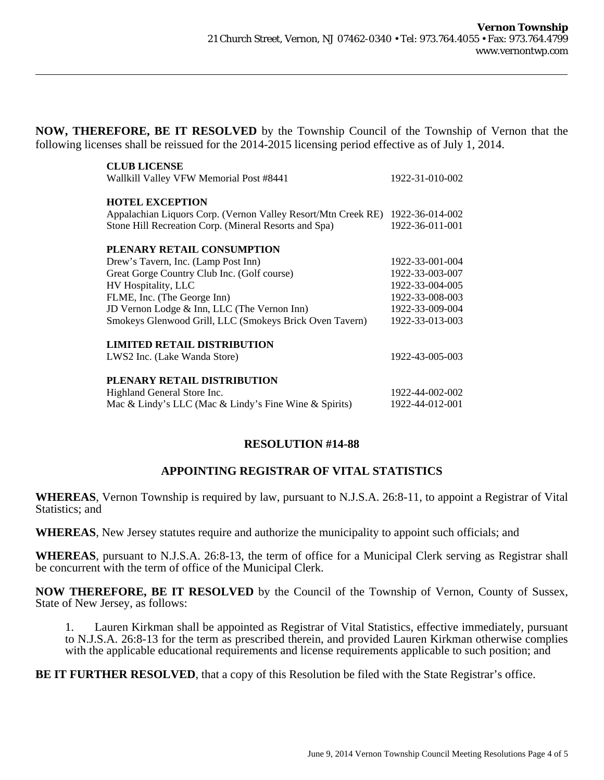**NOW, THEREFORE, BE IT RESOLVED** by the Township Council of the Township of Vernon that the following licenses shall be reissued for the 2014-2015 licensing period effective as of July 1, 2014.

| <b>CLUB LICENSE</b>                                           |                 |
|---------------------------------------------------------------|-----------------|
| Wallkill Valley VFW Memorial Post #8441                       | 1922-31-010-002 |
| <b>HOTEL EXCEPTION</b>                                        |                 |
| Appalachian Liquors Corp. (Vernon Valley Resort/Mtn Creek RE) | 1922-36-014-002 |
| Stone Hill Recreation Corp. (Mineral Resorts and Spa)         | 1922-36-011-001 |
| PLENARY RETAIL CONSUMPTION                                    |                 |
| Drew's Tavern, Inc. (Lamp Post Inn)                           | 1922-33-001-004 |
| Great Gorge Country Club Inc. (Golf course)                   | 1922-33-003-007 |
| HV Hospitality, LLC                                           | 1922-33-004-005 |
| FLME, Inc. (The George Inn)                                   | 1922-33-008-003 |
| JD Vernon Lodge & Inn, LLC (The Vernon Inn)                   | 1922-33-009-004 |
| Smokeys Glenwood Grill, LLC (Smokeys Brick Oven Tavern)       | 1922-33-013-003 |
| <b>LIMITED RETAIL DISTRIBUTION</b>                            |                 |
| LWS2 Inc. (Lake Wanda Store)                                  | 1922-43-005-003 |
| PLENARY RETAIL DISTRIBUTION                                   |                 |
| Highland General Store Inc.                                   | 1922-44-002-002 |
| Mac & Lindy's LLC (Mac & Lindy's Fine Wine & Spirits)         | 1922-44-012-001 |

## **RESOLUTION #14-88**

## **APPOINTING REGISTRAR OF VITAL STATISTICS**

**WHEREAS**, Vernon Township is required by law, pursuant to N.J.S.A. 26:8-11, to appoint a Registrar of Vital Statistics; and

**WHEREAS**, New Jersey statutes require and authorize the municipality to appoint such officials; and

**WHEREAS**, pursuant to N.J.S.A. 26:8-13, the term of office for a Municipal Clerk serving as Registrar shall be concurrent with the term of office of the Municipal Clerk.

**NOW THEREFORE, BE IT RESOLVED** by the Council of the Township of Vernon, County of Sussex, State of New Jersey, as follows:

 1. Lauren Kirkman shall be appointed as Registrar of Vital Statistics, effective immediately, pursuant to N.J.S.A. 26:8-13 for the term as prescribed therein, and provided Lauren Kirkman otherwise complies with the applicable educational requirements and license requirements applicable to such position; and

**BE IT FURTHER RESOLVED**, that a copy of this Resolution be filed with the State Registrar's office.